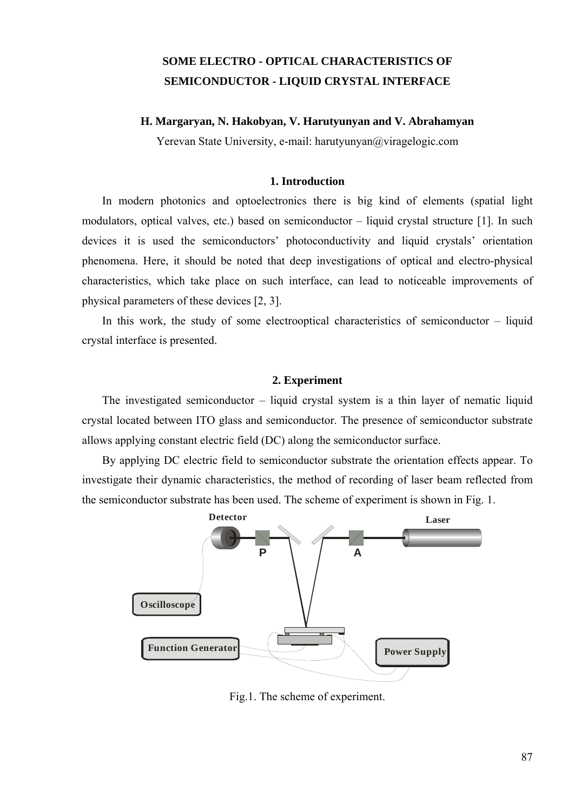# **SOME ELECTRO - OPTICAL CHARACTERISTICS OF SEMICONDUCTOR - LIQUID CRYSTAL INTERFACE**

## **H. Margaryan, N. Hakobyan, V. Harutyunyan and V. Abrahamyan**

Yerevan State University, e-mail: harutyunyan@viragelogic.com

## **1. Introduction**

 In modern photonics and optoelectronics there is big kind of elements (spatial light modulators, optical valves, etc.) based on semiconductor – liquid crystal structure [1]. In such devices it is used the semiconductors' photoconductivity and liquid crystals' orientation phenomena. Here, it should be noted that deep investigations of optical and electro-physical characteristics, which take place on such interface, can lead to noticeable improvements of physical parameters of these devices [2, 3].

 In this work, the study of some electrooptical characteristics of semiconductor – liquid crystal interface is presented.

### **2. Experiment**

 The investigated semiconductor – liquid crystal system is a thin layer of nematic liquid crystal located between ITO glass and semiconductor. The presence of semiconductor substrate allows applying constant electric field (DC) along the semiconductor surface.

 By applying DC electric field to semiconductor substrate the orientation effects appear. To investigate their dynamic characteristics, the method of recording of laser beam reflected from the semiconductor substrate has been used. The scheme of experiment is shown in Fig. 1.



Fig.1. The scheme of experiment.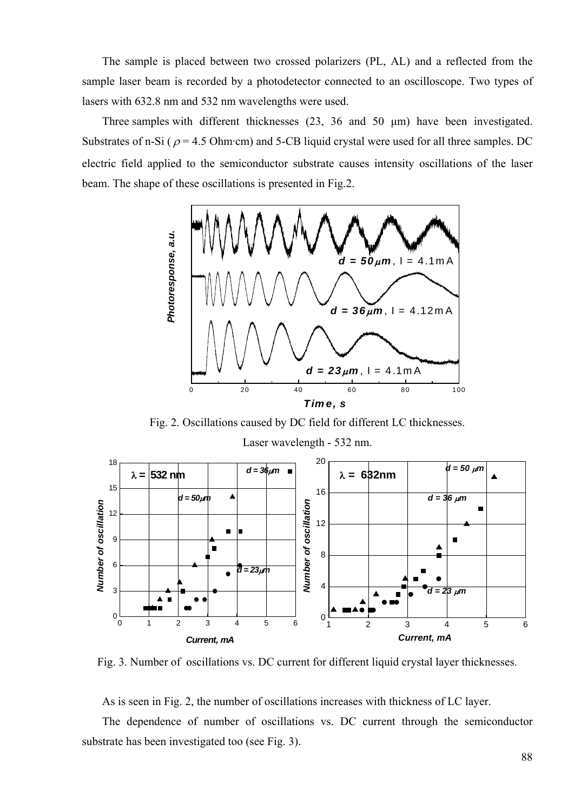The sample is placed between two crossed polarizers (PL, AL) and a reflected from the sample laser beam is recorded by a photodetector connected to an oscilloscope. Two types of lasers with 632.8 nm and 532 nm wavelengths were used.

 Three samples with different thicknesses (23, 36 and 50 μm) have been investigated. Substrates of n-Si ( $\rho$  = 4.5 Ohm·cm) and 5-CB liquid crystal were used for all three samples. DC electric field applied to the semiconductor substrate causes intensity oscillations of the laser beam. The shape of these oscillations is presented in Fig.2.



Fig. 2. Oscillations caused by DC field for different LC thicknesses.



Fig. 3. Number of oscillations vs. DC current for different liquid crystal layer thicknesses.

As is seen in Fig. 2, the number of oscillations increases with thickness of LC layer.

 The dependence of number of oscillations vs. DC current through the semiconductor substrate has been investigated too (see Fig. 3).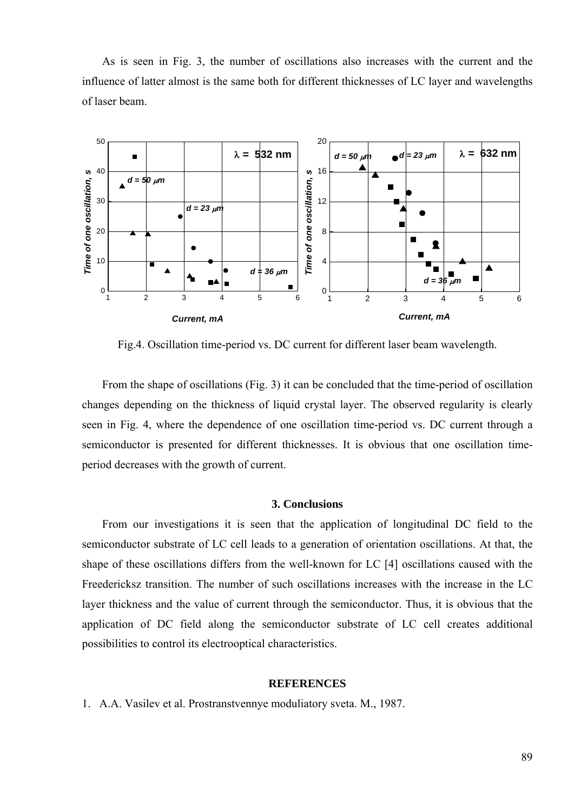As is seen in Fig. 3, the number of oscillations also increases with the current and the influence of latter almost is the same both for different thicknesses of LC layer and wavelengths of laser beam.



Fig.4. Oscillation time-period vs. DC current for different laser beam wavelength.

 From the shape of oscillations (Fig. 3) it can be concluded that the time-period of oscillation changes depending on the thickness of liquid crystal layer. The observed regularity is clearly seen in Fig. 4, where the dependence of one oscillation time-period vs. DC current through a semiconductor is presented for different thicknesses. It is obvious that one oscillation timeperiod decreases with the growth of current.

## **3. Conclusions**

 From our investigations it is seen that the application of longitudinal DC field to the semiconductor substrate of LC cell leads to a generation of orientation oscillations. At that, the shape of these oscillations differs from the well-known for LC [4] oscillations caused with the Freedericksz transition. The number of such oscillations increases with the increase in the LC layer thickness and the value of current through the semiconductor. Thus, it is obvious that the application of DC field along the semiconductor substrate of LC cell creates additional possibilities to control its electrooptical characteristics.

#### **REFERENCES**

1. A.A. Vasilev et al. Prostranstvennye moduliatory sveta. М., 1987.